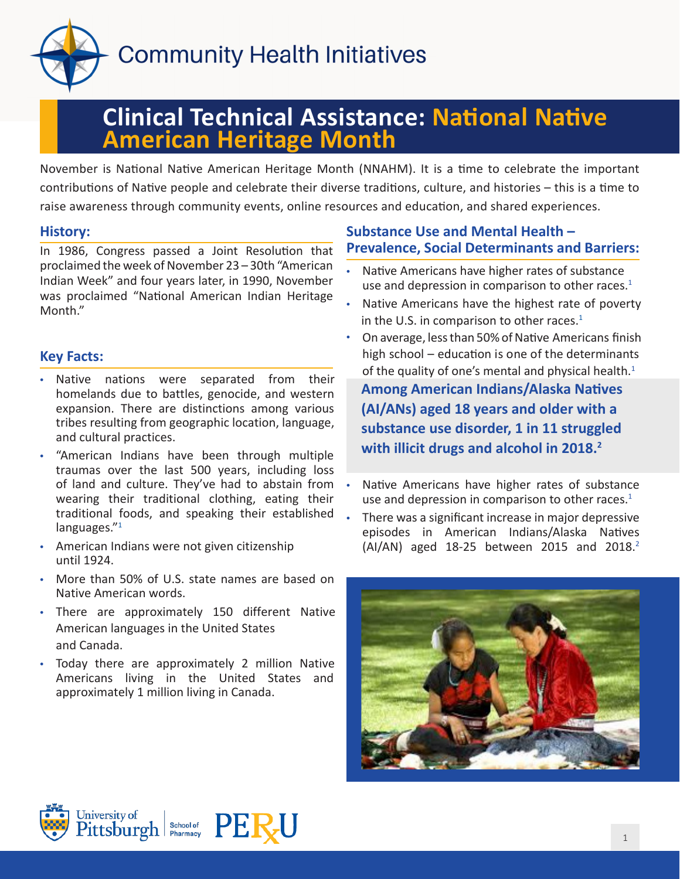

# **Clinical Technical Assistance: National Native American Heritage Month**

November is National Native American Heritage Month (NNAHM). It is a time to celebrate the important contributions of Native people and celebrate their diverse traditions, culture, and histories – this is a time to raise awareness through community events, online resources and education, and shared experiences.

## **History:**

In 1986, Congress passed a Joint Resolution that proclaimed the week of November 23 – 30th "American Indian Week" and four years later, in 1990, November was proclaimed "National American Indian Heritage Month."

## **Key Facts:**

- Native nations were separated from their homelands due to battles, genocide, and western expansion. There are distinctions among various tribes resulting from geographic location, language, and cultural practices.
- "American Indians have been through multiple traumas over the last 500 years, including loss of land and culture. They've had to abstain from wearing their traditional clothing, eating their traditional foods, and speaking their established languages."<sup>1</sup>
- American Indians were not given citizenship until 1924.
- More than 50% of U.S. state names are based on Native American words.
- There are approximately 150 different Native American languages in the United States and Canada.
- Today there are approximately 2 million Native Americans living in the United States and approximately 1 million living in Canada.

# **Substance Use and Mental Health – Prevalence, Social Determinants and Barriers:**

- Native Americans have higher rates of substance use and depression in comparison to other races. $1$
- Native Americans have the highest rate of poverty in the U.S. in comparison to other races. $1$
- On average, less than 50% of Native Americans finish high school – education is one of the determinants of the quality of one's mental and physical health. $1$ **Among American Indians/Alaska Natives (AI/ANs) aged 18 years and older with a substance use disorder, 1 in 11 struggled with illicit drugs and alcohol in 2018.2**
- Native Americans have higher rates of substance use and depression in comparison to other races. $1$
- There was a significant increase in major depressive episodes in American Indians/Alaska Natives  $(AI/AN)$  aged 18-25 between 2015 and 2018.<sup>2</sup>